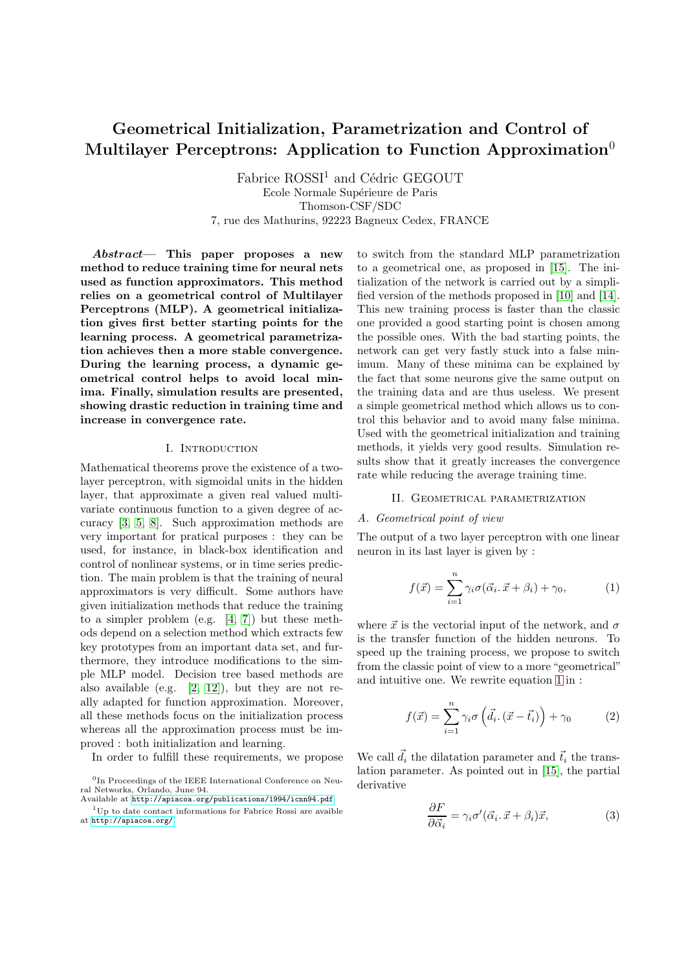# Geometrical Initialization, Parametrization and Control of Multilayer Perceptrons: Application to Function Approximation<sup>0</sup>

 $Fabrice ROSSI<sup>1</sup>$  and Cédric GEGOUT Ecole Normale Supérieure de Paris Thomson-CSF/SDC 7, rue des Mathurins, 92223 Bagneux Cedex, FRANCE

Abstract— This paper proposes a new method to reduce training time for neural nets used as function approximators. This method relies on a geometrical control of Multilayer Perceptrons (MLP). A geometrical initialization gives first better starting points for the learning process. A geometrical parametrization achieves then a more stable convergence. During the learning process, a dynamic geometrical control helps to avoid local minima. Finally, simulation results are presented, showing drastic reduction in training time and increase in convergence rate.

#### I. INTRODUCTION

Mathematical theorems prove the existence of a twolayer perceptron, with sigmoidal units in the hidden layer, that approximate a given real valued multivariate continuous function to a given degree of accuracy [\[3,](#page-4-0) [5,](#page-4-1) [8\]](#page-4-2). Such approximation methods are very important for pratical purposes : they can be used, for instance, in black-box identification and control of nonlinear systems, or in time series prediction. The main problem is that the training of neural approximators is very difficult. Some authors have given initialization methods that reduce the training to a simpler problem (e.g. [\[4,](#page-4-3) [7\]](#page-4-4)) but these methods depend on a selection method which extracts few key prototypes from an important data set, and furthermore, they introduce modifications to the simple MLP model. Decision tree based methods are also available (e.g.  $[2, 12]$  $[2, 12]$  $[2, 12]$ ), but they are not really adapted for function approximation. Moreover, all these methods focus on the initialization process whereas all the approximation process must be improved : both initialization and learning.

In order to fulfill these requirements, we propose

to switch from the standard MLP parametrization to a geometrical one, as proposed in [\[15\]](#page-4-6). The initialization of the network is carried out by a simplified version of the methods proposed in [\[10\]](#page-4-7) and [\[14\]](#page-4-8). This new training process is faster than the classic one provided a good starting point is chosen among the possible ones. With the bad starting points, the network can get very fastly stuck into a false minimum. Many of these minima can be explained by the fact that some neurons give the same output on the training data and are thus useless. We present a simple geometrical method which allows us to control this behavior and to avoid many false minima. Used with the geometrical initialization and training methods, it yields very good results. Simulation results show that it greatly increases the convergence rate while reducing the average training time.

#### II. GEOMETRICAL PARAMETRIZATION

#### A. Geometrical point of view

The output of a two layer perceptron with one linear neuron in its last layer is given by :

$$
f(\vec{x}) = \sum_{i=1}^{n} \gamma_i \sigma(\vec{\alpha}_i \cdot \vec{x} + \beta_i) + \gamma_0, \tag{1}
$$

<span id="page-0-0"></span>where  $\vec{x}$  is the vectorial input of the network, and  $\sigma$ is the transfer function of the hidden neurons. To speed up the training process, we propose to switch from the classic point of view to a more "geometrical" and intuitive one. We rewrite equation [1](#page-0-0) in :

$$
f(\vec{x}) = \sum_{i=1}^{n} \gamma_i \sigma \left( \vec{d}_i \cdot (\vec{x} - \vec{t}_i) \right) + \gamma_0 \tag{2}
$$

<span id="page-0-1"></span>We call  $\vec{d}_i$  the dilatation parameter and  $\vec{t}_i$  the translation parameter. As pointed out in [\[15\]](#page-4-6), the partial derivative

$$
\frac{\partial F}{\partial \vec{\alpha}_i} = \gamma_i \sigma'(\vec{\alpha}_i \cdot \vec{x} + \beta_i) \vec{x},\tag{3}
$$

<sup>&</sup>lt;sup>0</sup>In Proceedings of the IEEE International Conference on Neural Networks, Orlando, June 94.

Available at <http://apiacoa.org/publications/1994/icnn94.pdf>  $1$ Up to date contact informations for Fabrice Rossi are avaible

at <http://apiacoa.org/>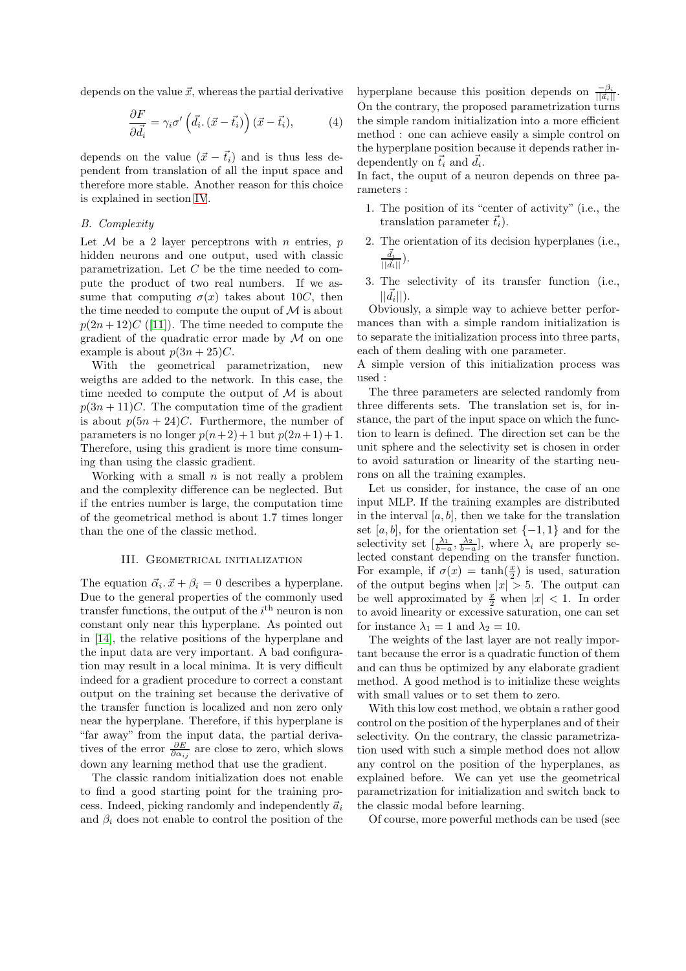<span id="page-1-0"></span>depends on the value  $\vec{x}$ , whereas the partial derivative

$$
\frac{\partial F}{\partial \vec{d_i}} = \gamma_i \sigma' \left( \vec{d_i} \cdot (\vec{x} - \vec{t_i}) \right) (\vec{x} - \vec{t_i}), \tag{4}
$$

depends on the value  $(\vec{x} - \vec{t}_i)$  and is thus less dependent from translation of all the input space and therefore more stable. Another reason for this choice is explained in section [IV](#page-2-0).

# B. Complexity

Let  $M$  be a 2 layer perceptrons with n entries,  $p$ hidden neurons and one output, used with classic parametrization. Let  $C$  be the time needed to compute the product of two real numbers. If we assume that computing  $\sigma(x)$  takes about 10C, then the time needed to compute the ouput of  $\mathcal M$  is about  $p(2n+12)C$  ([\[11\]](#page-4-9)). The time needed to compute the gradient of the quadratic error made by  $\mathcal M$  on one example is about  $p(3n+25)C$ .

With the geometrical parametrization, new weigths are added to the network. In this case, the time needed to compute the output of  $\mathcal M$  is about  $p(3n+11)C$ . The computation time of the gradient is about  $p(5n + 24)C$ . Furthermore, the number of parameters is no longer  $p(n+2)+1$  but  $p(2n+1)+1$ . Therefore, using this gradient is more time consuming than using the classic gradient.

Working with a small  $n$  is not really a problem and the complexity difference can be neglected. But if the entries number is large, the computation time of the geometrical method is about 1.7 times longer than the one of the classic method.

### III. GEOMETRICAL INITIALIZATION

The equation  $\vec{\alpha}_i \cdot \vec{x} + \beta_i = 0$  describes a hyperplane. Due to the general properties of the commonly used transfer functions, the output of the  $i<sup>th</sup>$  neuron is non constant only near this hyperplane. As pointed out in [\[14\]](#page-4-8), the relative positions of the hyperplane and the input data are very important. A bad configuration may result in a local minima. It is very difficult indeed for a gradient procedure to correct a constant output on the training set because the derivative of the transfer function is localized and non zero only near the hyperplane. Therefore, if this hyperplane is "far away" from the input data, the partial derivatives of the error  $\frac{\partial E}{\partial \alpha_{ij}}$  are close to zero, which slows down any learning method that use the gradient.

The classic random initialization does not enable to find a good starting point for the training process. Indeed, picking randomly and independently  $\vec{a}_i$ and  $\beta_i$  does not enable to control the position of the

hyperplane because this position depends on  $\frac{-\beta_i}{\|\vec{a_i}\|}$ . On the contrary, the proposed parametrization turns the simple random initialization into a more efficient method : one can achieve easily a simple control on the hyperplane position because it depends rather independently on  $\vec{t}_i$  and  $\vec{d}_i$ .

In fact, the ouput of a neuron depends on three parameters :

- 1. The position of its "center of activity" (i.e., the translation parameter  $\vec{t}_i$ ).
- 2. The orientation of its decision hyperplanes (i.e.,  $\frac{\vec{d}_i}{||\vec{d}_i||}).$
- 3. The selectivity of its transfer function (i.e.,  $||\vec{d}_i||$ ).

Obviously, a simple way to achieve better performances than with a simple random initialization is to separate the initialization process into three parts, each of them dealing with one parameter.

A simple version of this initialization process was used :

The three parameters are selected randomly from three differents sets. The translation set is, for instance, the part of the input space on which the function to learn is defined. The direction set can be the unit sphere and the selectivity set is chosen in order to avoid saturation or linearity of the starting neurons on all the training examples.

Let us consider, for instance, the case of an one input MLP. If the training examples are distributed in the interval  $[a, b]$ , then we take for the translation set  $[a, b]$ , for the orientation set  $\{-1, 1\}$  and for the selectivity set  $\left[\frac{\lambda_1}{b-a}, \frac{\lambda_2}{b-a}\right]$ , where  $\lambda_i$  are properly selected constant depending on the transfer function. For example, if  $\sigma(x) = \tanh(\frac{x}{2})$  is used, saturation of the output begins when  $|x| > 5$ . The output can be well approximated by  $\frac{x}{2}$  when  $|x| < 1$ . In order to avoid linearity or excessive saturation, one can set for instance  $\lambda_1 = 1$  and  $\lambda_2 = 10$ .

The weights of the last layer are not really important because the error is a quadratic function of them and can thus be optimized by any elaborate gradient method. A good method is to initialize these weights with small values or to set them to zero.

With this low cost method, we obtain a rather good control on the position of the hyperplanes and of their selectivity. On the contrary, the classic parametrization used with such a simple method does not allow any control on the position of the hyperplanes, as explained before. We can yet use the geometrical parametrization for initialization and switch back to the classic modal before learning.

Of course, more powerful methods can be used (see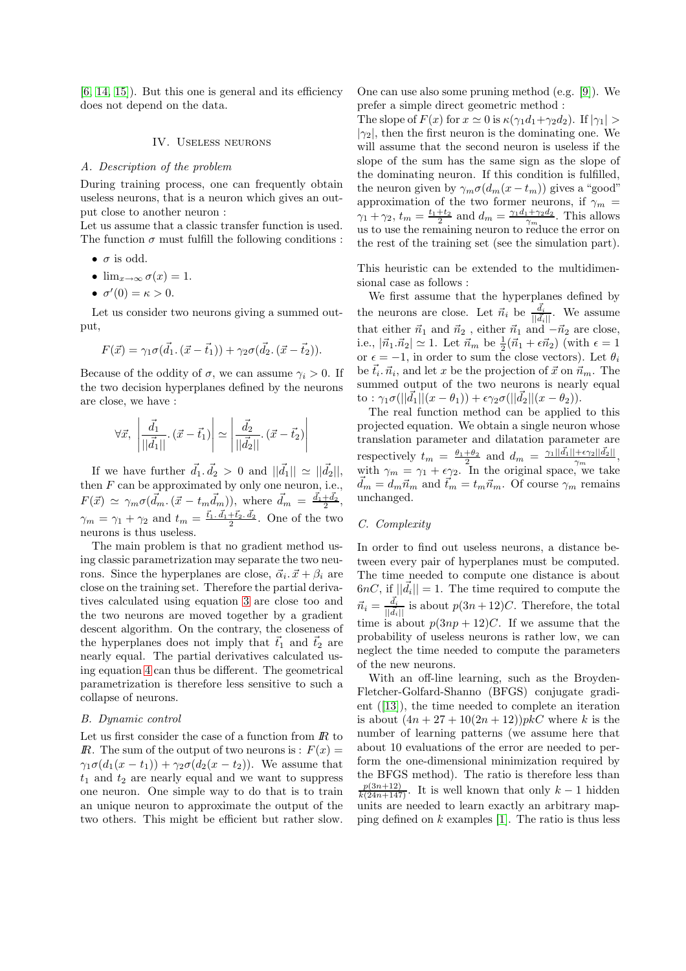<span id="page-2-0"></span> $[6, 14, 15]$  $[6, 14, 15]$  $[6, 14, 15]$  $[6, 14, 15]$  $[6, 14, 15]$ . But this one is general and its efficiency does not depend on the data.

#### IV. Useless neurons

#### A. Description of the problem

During training process, one can frequently obtain useless neurons, that is a neuron which gives an output close to another neuron :

Let us assume that a classic transfer function is used. The function  $\sigma$  must fulfill the following conditions :

- $\bullet$   $\sigma$  is odd.
- $\lim_{x\to\infty} \sigma(x) = 1.$
- $\sigma'(0) = \kappa > 0$ .

Let us consider two neurons giving a summed output,

$$
F(\vec{x}) = \gamma_1 \sigma(\vec{d}_1 \cdot (\vec{x} - \vec{t}_1)) + \gamma_2 \sigma(\vec{d}_2 \cdot (\vec{x} - \vec{t}_2)).
$$

Because of the oddity of  $\sigma$ , we can assume  $\gamma_i > 0$ . If the two decision hyperplanes defined by the neurons are close, we have :

$$
\forall \vec{x}, \left| \frac{\vec{d}_1}{||\vec{d}_1||} \cdot (\vec{x} - \vec{t}_1) \right| \simeq \left| \frac{\vec{d}_2}{||\vec{d}_2||} \cdot (\vec{x} - \vec{t}_2) \right|
$$

If we have further  $\vec{d}_1 \cdot \vec{d}_2 > 0$  and  $||\vec{d}_1|| \simeq ||\vec{d}_2||$ , then  $F$  can be approximated by only one neuron, i.e.,  $F(\vec{x}) \simeq \gamma_m \sigma(\vec{d}_m \cdot (\vec{x} - t_m \vec{d}_m))$ , where  $\vec{d}_m = \frac{\vec{d}_1 + \vec{d}_2}{2}$ ,  $\gamma_m = \gamma_1 + \gamma_2$  and  $t_m = \frac{\vec{t}_1 \cdot \vec{d}_1 + \vec{t}_2 \cdot \vec{d}_2}{2}$ . One of the two neurons is thus useless.

The main problem is that no gradient method using classic parametrization may separate the two neurons. Since the hyperplanes are close,  $\vec{\alpha}_i \cdot \vec{x} + \beta_i$  are close on the training set. Therefore the partial derivatives calculated using equation [3](#page-0-1) are close too and the two neurons are moved together by a gradient descent algorithm. On the contrary, the closeness of the hyperplanes does not imply that  $\vec{t}_1$  and  $\vec{t}_2$  are nearly equal. The partial derivatives calculated using equation [4](#page-1-0) can thus be different. The geometrical parametrization is therefore less sensitive to such a collapse of neurons.

#### B. Dynamic control

Let us first consider the case of a function from  *to* IR. The sum of the output of two neurons is :  $F(x) =$  $\gamma_1\sigma(d_1(x-t_1))+\gamma_2\sigma(d_2(x-t_2)).$  We assume that  $t_1$  and  $t_2$  are nearly equal and we want to suppress one neuron. One simple way to do that is to train an unique neuron to approximate the output of the two others. This might be efficient but rather slow. One can use also some pruning method (e.g. [\[9\]](#page-4-11)). We prefer a simple direct geometric method :

The slope of  $F(x)$  for  $x \approx 0$  is  $\kappa(\gamma_1 d_1 + \gamma_2 d_2)$ . If  $|\gamma_1| >$  $|\gamma_2|$ , then the first neuron is the dominating one. We will assume that the second neuron is useless if the slope of the sum has the same sign as the slope of the dominating neuron. If this condition is fulfilled, the neuron given by  $\gamma_m \sigma(d_m(x - t_m))$  gives a "good" approximation of the two former neurons, if  $\gamma_m$  =  $\gamma_1 + \gamma_2$ ,  $t_m = \frac{t_1+t_2}{2}$  and  $d_m = \frac{\gamma_1 d_1 + \gamma_2 d_2}{\gamma_m}$ . This allows us to use the remaining neuron to reduce the error on the rest of the training set (see the simulation part).

This heuristic can be extended to the multidimensional case as follows :

We first assume that the hyperplanes defined by the neurons are close. Let  $\vec{n}_i$  be  $\frac{\vec{d}_i}{||\vec{d}_i||}$ . We assume that either  $\vec{n}_1$  and  $\vec{n}_2$ , either  $\vec{n}_1$  and  $-\vec{n}_2$  are close, i.e.,  $|\vec{n}_1 \cdot \vec{n}_2| \simeq 1$ . Let  $\vec{n}_m$  be  $\frac{1}{2}(\vec{n}_1 + \epsilon \vec{n}_2)$  (with  $\epsilon = 1$ or  $\epsilon = -1$ , in order to sum the close vectors). Let  $\theta_i$ be  $\vec{t}_i$ ,  $\vec{n}_i$ , and let x be the projection of  $\vec{x}$  on  $\vec{n}_m$ . The summed output of the two neurons is nearly equal to :  $\gamma_1 \sigma(||\vec{d}_1||(x - \theta_1)) + \epsilon \gamma_2 \sigma(||\vec{d}_2||(x - \theta_2)).$ 

The real function method can be applied to this projected equation. We obtain a single neuron whose translation parameter and dilatation parameter are respectively  $t_m = \frac{\theta_1 + \theta_2}{2}$  and  $d_m = \frac{\gamma_1 ||\vec{d}_1|| + \epsilon \gamma_2 ||\vec{d}_2||}{\gamma_m}$  $\frac{+\epsilon \gamma_2 ||a_2||}{\gamma_m},$ with  $\gamma_m = \gamma_1 + \epsilon \gamma_2$ . In the original space, we take  $\vec{d}_m = d_m \vec{n}_m$  and  $\vec{t}_m = t_m \vec{n}_m$ . Of course  $\gamma_m$  remains unchanged.

# C. Complexity

In order to find out useless neurons, a distance between every pair of hyperplanes must be computed. The time needed to compute one distance is about  $6nC$ , if  $||\vec{d}_i|| = 1$ . The time required to compute the  $\vec{n}_i = \frac{\vec{d}_i}{||\vec{d}_i||}$  is about  $p(3n+12)C$ . Therefore, the total time is about  $p(3np + 12)C$ . If we assume that the probability of useless neurons is rather low, we can neglect the time needed to compute the parameters of the new neurons.

With an off-line learning, such as the Broyden-Fletcher-Golfard-Shanno (BFGS) conjugate gradient ([\[13\]](#page-4-12)), the time needed to complete an iteration is about  $(4n + 27 + 10(2n + 12))pkC$  where k is the number of learning patterns (we assume here that about 10 evaluations of the error are needed to perform the one-dimensional minimization required by the BFGS method). The ratio is therefore less than  $\frac{p(3n+12)}{k(24n+147)}$ . It is well known that only  $k-1$  hidden units are needed to learn exactly an arbitrary mapping defined on  $k$  examples [\[1\]](#page-3-1). The ratio is thus less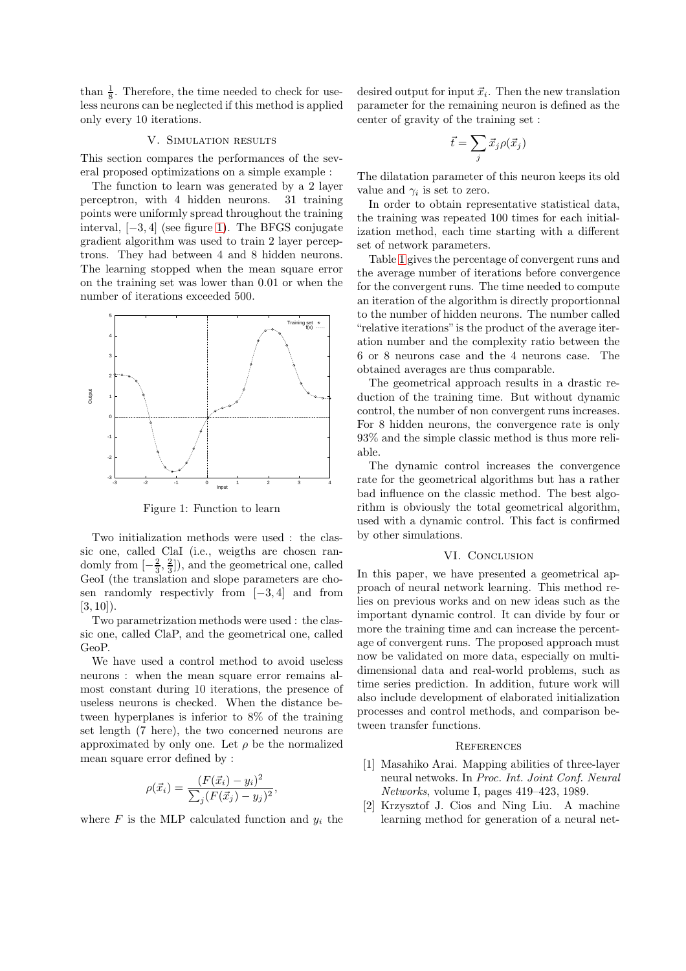than  $\frac{1}{8}$ . Therefore, the time needed to check for useless neurons can be neglected if this method is applied only every 10 iterations.

## V. Simulation results

This section compares the performances of the several proposed optimizations on a simple example :

The function to learn was generated by a 2 layer perceptron, with 4 hidden neurons. 31 training points were uniformly spread throughout the training interval, [−3, 4] (see figure [1\)](#page-3-2). The BFGS conjugate gradient algorithm was used to train 2 layer perceptrons. They had between 4 and 8 hidden neurons. The learning stopped when the mean square error on the training set was lower than 0.01 or when the number of iterations exceeded 500.



<span id="page-3-2"></span>Figure 1: Function to learn

Two initialization methods were used : the classic one, called ClaI (i.e., weigths are chosen randomly from  $\left[-\frac{2}{3}, \frac{2}{3}\right]$ , and the geometrical one, called GeoI (the translation and slope parameters are chosen randomly respectivly from [−3, 4] and from  $[3, 10]$ ).

Two parametrization methods were used : the classic one, called ClaP, and the geometrical one, called GeoP.

We have used a control method to avoid useless neurons : when the mean square error remains almost constant during 10 iterations, the presence of useless neurons is checked. When the distance between hyperplanes is inferior to 8% of the training set length (7 here), the two concerned neurons are approximated by only one. Let  $\rho$  be the normalized mean square error defined by :

$$
\rho(\vec{x}_i) = \frac{(F(\vec{x}_i) - y_i)^2}{\sum_j (F(\vec{x}_j) - y_j)^2},
$$

where  $F$  is the MLP calculated function and  $y_i$  the

desired output for input  $\vec{x}_i$ . Then the new translation parameter for the remaining neuron is defined as the center of gravity of the training set :

$$
\vec{t} = \sum_j \vec{x}_j \rho(\vec{x}_j)
$$

The dilatation parameter of this neuron keeps its old value and  $\gamma_i$  is set to zero.

In order to obtain representative statistical data, the training was repeated 100 times for each initialization method, each time starting with a different set of network parameters.

Table [1](#page-4-13) gives the percentage of convergent runs and the average number of iterations before convergence for the convergent runs. The time needed to compute an iteration of the algorithm is directly proportionnal to the number of hidden neurons. The number called "relative iterations"is the product of the average iteration number and the complexity ratio between the 6 or 8 neurons case and the 4 neurons case. The obtained averages are thus comparable.

The geometrical approach results in a drastic reduction of the training time. But without dynamic control, the number of non convergent runs increases. For 8 hidden neurons, the convergence rate is only 93% and the simple classic method is thus more reliable.

The dynamic control increases the convergence rate for the geometrical algorithms but has a rather bad influence on the classic method. The best algorithm is obviously the total geometrical algorithm, used with a dynamic control. This fact is confirmed by other simulations.

#### VI. CONCLUSION

In this paper, we have presented a geometrical approach of neural network learning. This method relies on previous works and on new ideas such as the important dynamic control. It can divide by four or more the training time and can increase the percentage of convergent runs. The proposed approach must now be validated on more data, especially on multidimensional data and real-world problems, such as time series prediction. In addition, future work will also include development of elaborated initialization processes and control methods, and comparison between transfer functions.

#### **REFERENCES**

- <span id="page-3-1"></span>[1] Masahiko Arai. Mapping abilities of three-layer neural netwoks. In Proc. Int. Joint Conf. Neural Networks, volume I, pages 419–423, 1989.
- <span id="page-3-0"></span>[2] Krzysztof J. Cios and Ning Liu. A machine learning method for generation of a neural net-